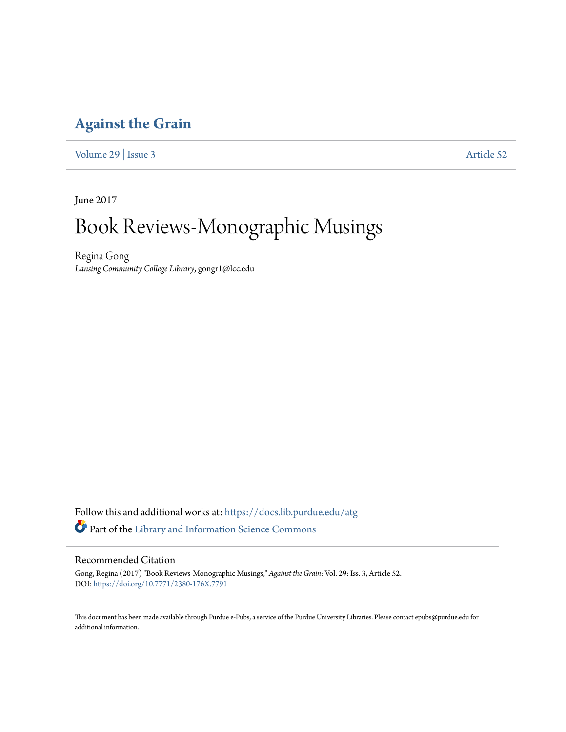#### **[Against the Grain](https://docs.lib.purdue.edu/atg?utm_source=docs.lib.purdue.edu%2Fatg%2Fvol29%2Fiss3%2F52&utm_medium=PDF&utm_campaign=PDFCoverPages)**

[Volume 29](https://docs.lib.purdue.edu/atg/vol29?utm_source=docs.lib.purdue.edu%2Fatg%2Fvol29%2Fiss3%2F52&utm_medium=PDF&utm_campaign=PDFCoverPages) | [Issue 3](https://docs.lib.purdue.edu/atg/vol29/iss3?utm_source=docs.lib.purdue.edu%2Fatg%2Fvol29%2Fiss3%2F52&utm_medium=PDF&utm_campaign=PDFCoverPages) [Article 52](https://docs.lib.purdue.edu/atg/vol29/iss3/52?utm_source=docs.lib.purdue.edu%2Fatg%2Fvol29%2Fiss3%2F52&utm_medium=PDF&utm_campaign=PDFCoverPages)

June 2017

# Book Reviews-Monographic Musings

Regina Gong *Lansing Community College Library*, gongr1@lcc.edu

Follow this and additional works at: [https://docs.lib.purdue.edu/atg](https://docs.lib.purdue.edu/atg?utm_source=docs.lib.purdue.edu%2Fatg%2Fvol29%2Fiss3%2F52&utm_medium=PDF&utm_campaign=PDFCoverPages) Part of the [Library and Information Science Commons](http://network.bepress.com/hgg/discipline/1018?utm_source=docs.lib.purdue.edu%2Fatg%2Fvol29%2Fiss3%2F52&utm_medium=PDF&utm_campaign=PDFCoverPages)

#### Recommended Citation

Gong, Regina (2017) "Book Reviews-Monographic Musings," *Against the Grain*: Vol. 29: Iss. 3, Article 52. DOI: <https://doi.org/10.7771/2380-176X.7791>

This document has been made available through Purdue e-Pubs, a service of the Purdue University Libraries. Please contact epubs@purdue.edu for additional information.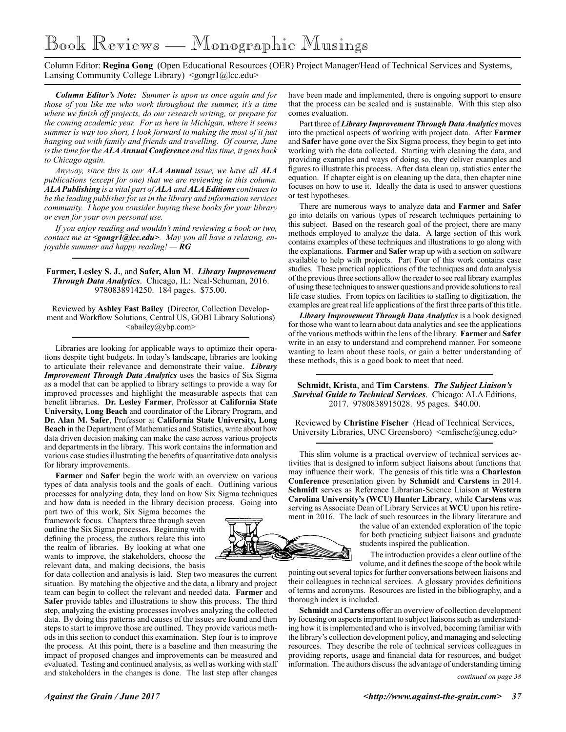## Book Reviews — Monographic Musings

Column Editor: **Regina Gong** (Open Educational Resources (OER) Project Manager/Head of Technical Services and Systems, Lansing Community College Library) <gongr1@lcc.edu>

*Column Editor's Note: Summer is upon us once again and for those of you like me who work throughout the summer, it's a time where we finish off projects, do our research writing, or prepare for the coming academic year. For us here in Michigan, where it seems summer is way too short, I look forward to making the most of it just hanging out with family and friends and travelling. Of course, June is the time for the ALA Annual Conference and this time, it goes back to Chicago again.* 

*Anyway, since this is our ALA Annual issue, we have all ALA publications (except for one) that we are reviewing in this column. ALA Publishing is a vital part of ALA and ALA Editions continues to be the leading publisher for us in the library and information services community. I hope you consider buying these books for your library or even for your own personal use.*

*If you enjoy reading and wouldn't mind reviewing a book or two, contact me at <gongr1@lcc.edu>. May you all have a relaxing, enjoyable summer and happy reading! — RG*

**Farmer, Lesley S. J.**, and **Safer, Alan M**. *Library Improvement Through Data Analytics*. Chicago, IL: Neal-Schuman, 2016. 9780838914250. 184 pages. \$75.00.

Reviewed by **Ashley Fast Bailey** (Director, Collection Development and Workflow Solutions, Central US, GOBI Library Solutions)  $\langle$ abailey@ybp.com $\rangle$ 

Libraries are looking for applicable ways to optimize their operations despite tight budgets. In today's landscape, libraries are looking to articulate their relevance and demonstrate their value. *Library Improvement Through Data Analytics* uses the basics of Six Sigma as a model that can be applied to library settings to provide a way for improved processes and highlight the measurable aspects that can benefit libraries. **Dr. Lesley Farmer**, Professor at **California State University, Long Beach** and coordinator of the Library Program, and **Dr. Alan M. Safer**, Professor at **California State University, Long Beach** in the Department of Mathematics and Statistics, write about how data driven decision making can make the case across various projects and departments in the library. This work contains the information and various case studies illustrating the benefits of quantitative data analysis for library improvements.

**Farmer** and **Safer** begin the work with an overview on various types of data analysis tools and the goals of each. Outlining various processes for analyzing data, they land on how Six Sigma techniques and how data is needed in the library decision process. Going into

part two of this work, Six Sigma becomes the framework focus. Chapters three through seven outline the Six Sigma processes. Beginning with defining the process, the authors relate this into the realm of libraries. By looking at what one wants to improve, the stakeholders, choose the relevant data, and making decisions, the basis

for data collection and analysis is laid. Step two measures the current situation. By matching the objective and the data, a library and project team can begin to collect the relevant and needed data. **Farmer** and **Safer** provide tables and illustrations to show this process. The third step, analyzing the existing processes involves analyzing the collected data. By doing this patterns and causes of the issues are found and then steps to start to improve those are outlined. They provide various methods in this section to conduct this examination. Step four is to improve the process. At this point, there is a baseline and then measuring the impact of proposed changes and improvements can be measured and evaluated. Testing and continued analysis, as well as working with staff and stakeholders in the changes is done. The last step after changes

have been made and implemented, there is ongoing support to ensure that the process can be scaled and is sustainable. With this step also comes evaluation.

Part three of *Library Improvement Through Data Analytics* moves into the practical aspects of working with project data. After **Farmer**  and **Safer** have gone over the Six Sigma process, they begin to get into working with the data collected. Starting with cleaning the data, and providing examples and ways of doing so, they deliver examples and figures to illustrate this process. After data clean up, statistics enter the equation. If chapter eight is on cleaning up the data, then chapter nine focuses on how to use it. Ideally the data is used to answer questions or test hypotheses.

There are numerous ways to analyze data and **Farmer** and **Safer**  go into details on various types of research techniques pertaining to this subject. Based on the research goal of the project, there are many methods employed to analyze the data. A large section of this work contains examples of these techniques and illustrations to go along with the explanations. **Farmer** and **Safer** wrap up with a section on software available to help with projects. Part Four of this work contains case studies. These practical applications of the techniques and data analysis of the previous three sections allow the reader to see real library examples of using these techniques to answer questions and provide solutions to real life case studies. From topics on facilities to staffing to digitization, the examples are great real life applications of the first three parts of this title.

*Library Improvement Through Data Analytics* is a book designed for those who want to learn about data analytics and see the applications of the various methods within the lens of the library. **Farmer** and **Safer**  write in an easy to understand and comprehend manner. For someone wanting to learn about these tools, or gain a better understanding of these methods, this is a good book to meet that need.

**Schmidt, Krista**, and **Tim Carstens**. *The Subject Liaison's Survival Guide to Technical Services*. Chicago: ALA Editions, 2017. 9780838915028. 95 pages. \$40.00.

Reviewed by **Christine Fischer** (Head of Technical Services, University Libraries, UNC Greensboro) <cmfische@uncg.edu>

This slim volume is a practical overview of technical services activities that is designed to inform subject liaisons about functions that may influence their work. The genesis of this title was a **Charleston Conference** presentation given by **Schmidt** and **Carstens** in 2014. **Schmidt** serves as Reference Librarian-Science Liaison at **Western Carolina University's (WCU) Hunter Library**, while **Carstens** was serving as Associate Dean of Library Services at **WCU** upon his retirement in 2016. The lack of such resources in the library literature and

the value of an extended exploration of the topic for both practicing subject liaisons and graduate students inspired the publication.

The introduction provides a clear outline of the volume, and it defines the scope of the book while

pointing out several topics for further conversations between liaisons and their colleagues in technical services. A glossary provides definitions of terms and acronyms. Resources are listed in the bibliography, and a thorough index is included.

**Schmidt** and **Carstens** offer an overview of collection development by focusing on aspects important to subject liaisons such as understanding how it is implemented and who is involved, becoming familiar with the library's collection development policy, and managing and selecting resources. They describe the role of technical services colleagues in providing reports, usage and financial data for resources, and budget information. The authors discuss the advantage of understanding timing

*continued on page 38*

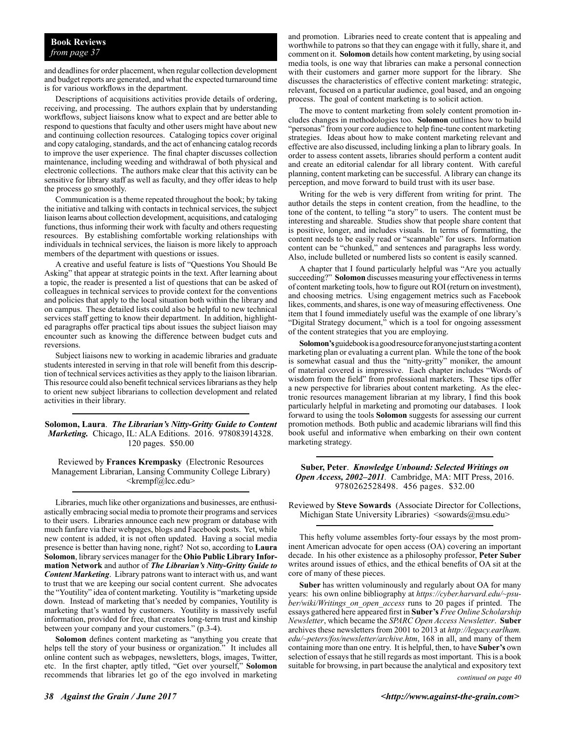#### **Book Reviews** *from page 37*

and deadlines for order placement, when regular collection development and budget reports are generated, and what the expected turnaround time is for various workflows in the department.

Descriptions of acquisitions activities provide details of ordering, receiving, and processing. The authors explain that by understanding workflows, subject liaisons know what to expect and are better able to respond to questions that faculty and other users might have about new and continuing collection resources. Cataloging topics cover original and copy cataloging, standards, and the act of enhancing catalog records to improve the user experience. The final chapter discusses collection maintenance, including weeding and withdrawal of both physical and electronic collections. The authors make clear that this activity can be sensitive for library staff as well as faculty, and they offer ideas to help the process go smoothly.

Communication is a theme repeated throughout the book; by taking the initiative and talking with contacts in technical services, the subject liaison learns about collection development, acquisitions, and cataloging functions, thus informing their work with faculty and others requesting resources. By establishing comfortable working relationships with individuals in technical services, the liaison is more likely to approach members of the department with questions or issues.

A creative and useful feature is lists of "Questions You Should Be Asking" that appear at strategic points in the text. After learning about a topic, the reader is presented a list of questions that can be asked of colleagues in technical services to provide context for the conventions and policies that apply to the local situation both within the library and on campus. These detailed lists could also be helpful to new technical services staff getting to know their department. In addition, highlighted paragraphs offer practical tips about issues the subject liaison may encounter such as knowing the difference between budget cuts and reversions.

Subject liaisons new to working in academic libraries and graduate students interested in serving in that role will benefit from this description of technical services activities as they apply to the liaison librarian. This resource could also benefit technical services librarians as they help to orient new subject librarians to collection development and related activities in their library.

**Solomon, Laura**. *The Librarian's Nitty-Gritty Guide to Content Marketing.* Chicago, IL: ALA Editions. 2016. 978083914328. 120 pages. \$50.00

Reviewed by **Frances Krempasky** (Electronic Resources Management Librarian, Lansing Community College Library) <krempf@lcc.edu>

Libraries, much like other organizations and businesses, are enthusiastically embracing social media to promote their programs and services to their users. Libraries announce each new program or database with much fanfare via their webpages, blogs and Facebook posts. Yet, while new content is added, it is not often updated. Having a social media presence is better than having none, right? Not so, according to **Laura Solomon**, library services manager for the **Ohio Public Library Information Network** and author of *The Librarian's Nitty-Gritty Guide to Content Marketing*. Library patrons want to interact with us, and want to trust that we are keeping our social content current. She advocates the "Youtility" idea of content marketing. Youtility is "marketing upside down. Instead of marketing that's needed by companies, Youtility is marketing that's wanted by customers. Youtility is massively useful information, provided for free, that creates long-term trust and kinship between your company and your customers." (p.3-4).

**Solomon** defines content marketing as "anything you create that helps tell the story of your business or organization." It includes all online content such as webpages, newsletters, blogs, images, Twitter, etc. In the first chapter, aptly titled, "Get over yourself," **Solomon**  recommends that libraries let go of the ego involved in marketing

and promotion. Libraries need to create content that is appealing and worthwhile to patrons so that they can engage with it fully, share it, and comment on it. **Solomon** details how content marketing, by using social media tools, is one way that libraries can make a personal connection with their customers and garner more support for the library. She discusses the characteristics of effective content marketing: strategic, relevant, focused on a particular audience, goal based, and an ongoing process. The goal of content marketing is to solicit action.

The move to content marketing from solely content promotion includes changes in methodologies too. **Solomon** outlines how to build "personas" from your core audience to help fine-tune content marketing strategies. Ideas about how to make content marketing relevant and effective are also discussed, including linking a plan to library goals. In order to assess content assets, libraries should perform a content audit and create an editorial calendar for all library content. With careful planning, content marketing can be successful. A library can change its perception, and move forward to build trust with its user base.

Writing for the web is very different from writing for print. The author details the steps in content creation, from the headline, to the tone of the content, to telling "a story" to users. The content must be interesting and shareable. Studies show that people share content that is positive, longer, and includes visuals. In terms of formatting, the content needs to be easily read or "scannable" for users. Information content can be "chunked," and sentences and paragraphs less wordy. Also, include bulleted or numbered lists so content is easily scanned.

A chapter that I found particularly helpful was "Are you actually succeeding?" **Solomon** discusses measuring your effectiveness in terms of content marketing tools, how to figure out ROI (return on investment), and choosing metrics. Using engagement metrics such as Facebook likes, comments, and shares, is one way of measuring effectiveness. One item that I found immediately useful was the example of one library's "Digital Strategy document," which is a tool for ongoing assessment of the content strategies that you are employing.

**Solomon's** guidebook is a good resource for anyone just starting a content marketing plan or evaluating a current plan. While the tone of the book is somewhat casual and thus the "nitty-gritty" moniker, the amount of material covered is impressive. Each chapter includes "Words of wisdom from the field" from professional marketers. These tips offer a new perspective for libraries about content marketing. As the electronic resources management librarian at my library, I find this book particularly helpful in marketing and promoting our databases. I look forward to using the tools **Solomon** suggests for assessing our current promotion methods. Both public and academic librarians will find this book useful and informative when embarking on their own content marketing strategy.

**Suber, Peter**. *Knowledge Unbound: Selected Writings on Open Access, 2002–2011.* Cambridge, MA: MIT Press, 2016. 9780262528498. 456 pages. \$32.00

Reviewed by **Steve Sowards** (Associate Director for Collections, Michigan State University Libraries) <sowards@msu.edu>

This hefty volume assembles forty-four essays by the most prominent American advocate for open access (OA) covering an important decade. In his other existence as a philosophy professor, **Peter Suber** writes around issues of ethics, and the ethical benefits of OA sit at the core of many of these pieces.

**Suber** has written voluminously and regularly about OA for many years: his own online bibliography at *https://cyber.harvard.edu/~psuber/wiki/Writings\_on\_open\_access* runs to 20 pages if printed. The essays gathered here appeared first in **Suber's** *Free Online Scholarship Newsletter*, which became the *SPARC Open Access Newsletter*. **Suber**  archives these newsletters from 2001 to 2013 at *http://legacy.earlham. edu/~peters/fos/newsletter/archive.htm*, 168 in all, and many of them containing more than one entry. It is helpful, then, to have **Suber's** own selection of essays that he still regards as most important. This is a book suitable for browsing, in part because the analytical and expository text

*continued on page 40*